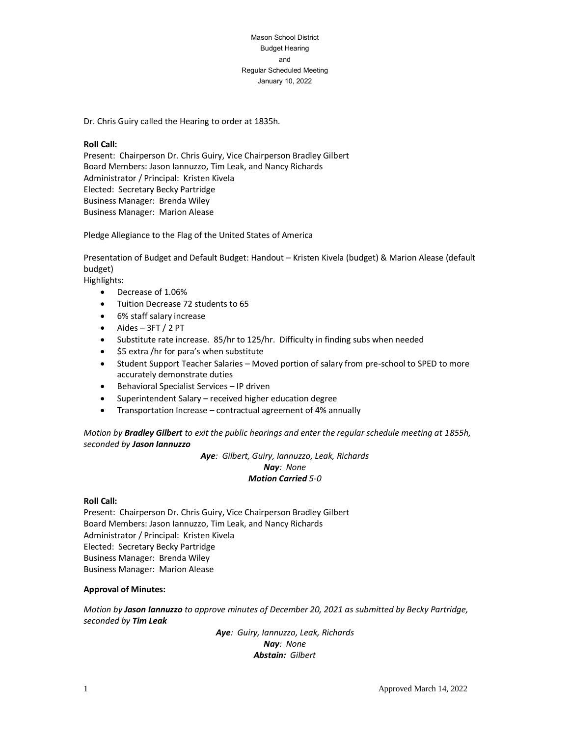Mason School District Budget Hearing and Regular Scheduled Meeting January 10, 2022

Dr. Chris Guiry called the Hearing to order at 1835h.

#### **Roll Call:**

Present: Chairperson Dr. Chris Guiry, Vice Chairperson Bradley Gilbert Board Members: Jason Iannuzzo, Tim Leak, and Nancy Richards Administrator / Principal: Kristen Kivela Elected: Secretary Becky Partridge Business Manager: Brenda Wiley Business Manager: Marion Alease

Pledge Allegiance to the Flag of the United States of America

Presentation of Budget and Default Budget: Handout – Kristen Kivela (budget) & Marion Alease (default budget)

Highlights:

- Decrease of 1.06%
- Tuition Decrease 72 students to 65
- 6% staff salary increase
- Aides 3FT / 2 PT
- Substitute rate increase. 85/hr to 125/hr. Difficulty in finding subs when needed
- \$5 extra /hr for para's when substitute
- Student Support Teacher Salaries Moved portion of salary from pre-school to SPED to more accurately demonstrate duties
- Behavioral Specialist Services IP driven
- Superintendent Salary received higher education degree
- Transportation Increase contractual agreement of 4% annually

*Motion by Bradley Gilbert to exit the public hearings and enter the regular schedule meeting at 1855h, seconded by Jason Iannuzzo*

> *Aye: Gilbert, Guiry, Iannuzzo, Leak, Richards Nay: None Motion Carried 5-0*

#### **Roll Call:**

Present: Chairperson Dr. Chris Guiry, Vice Chairperson Bradley Gilbert Board Members: Jason Iannuzzo, Tim Leak, and Nancy Richards Administrator / Principal: Kristen Kivela Elected: Secretary Becky Partridge Business Manager: Brenda Wiley Business Manager: Marion Alease

### **Approval of Minutes:**

*Motion by Jason Iannuzzo to approve minutes of December 20, 2021 as submitted by Becky Partridge, seconded by Tim Leak*

> *Aye: Guiry, Iannuzzo, Leak, Richards Nay: None Abstain: Gilbert*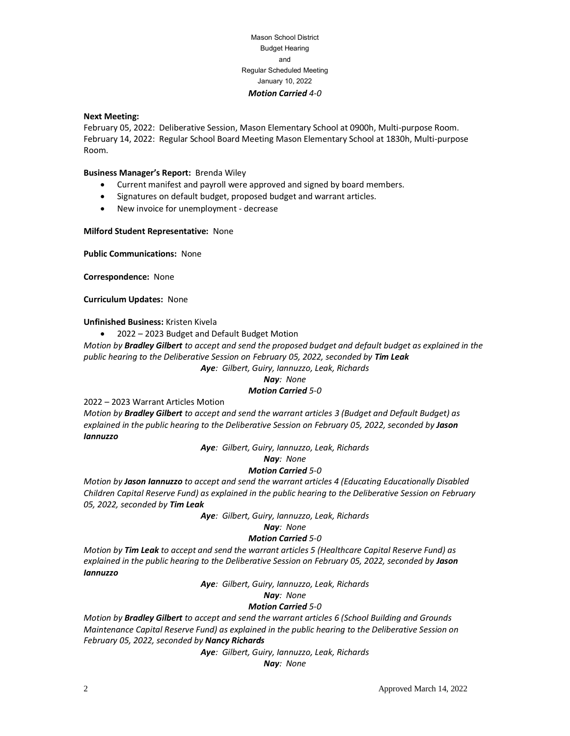# Mason School District Budget Hearing and Regular Scheduled Meeting January 10, 2022 *Motion Carried 4-0*

#### **Next Meeting:**

February 05, 2022: Deliberative Session, Mason Elementary School at 0900h, Multi-purpose Room. February 14, 2022: Regular School Board Meeting Mason Elementary School at 1830h, Multi-purpose Room.

### **Business Manager's Report:** Brenda Wiley

- Current manifest and payroll were approved and signed by board members.
- Signatures on default budget, proposed budget and warrant articles.
- New invoice for unemployment decrease

### **Milford Student Representative:** None

**Public Communications:** None

**Correspondence:** None

**Curriculum Updates:** None

**Unfinished Business:** Kristen Kivela

• 2022 – 2023 Budget and Default Budget Motion

*Motion by Bradley Gilbert to accept and send the proposed budget and default budget as explained in the public hearing to the Deliberative Session on February 05, 2022, seconded by Tim Leak*

*Aye: Gilbert, Guiry, Iannuzzo, Leak, Richards*

## *Nay: None*

# *Motion Carried 5-0*

2022 – 2023 Warrant Articles Motion

*Motion by Bradley Gilbert to accept and send the warrant articles 3 (Budget and Default Budget) as explained in the public hearing to the Deliberative Session on February 05, 2022, seconded by Jason Iannuzzo*

*Aye: Gilbert, Guiry, Iannuzzo, Leak, Richards*

#### *Nay: None*

### *Motion Carried 5-0*

*Motion by Jason Iannuzzo to accept and send the warrant articles 4 (Educating Educationally Disabled Children Capital Reserve Fund) as explained in the public hearing to the Deliberative Session on February 05, 2022, seconded by Tim Leak*

*Aye: Gilbert, Guiry, Iannuzzo, Leak, Richards*

### *Nay: None*

### *Motion Carried 5-0*

*Motion by Tim Leak to accept and send the warrant articles 5 (Healthcare Capital Reserve Fund) as explained in the public hearing to the Deliberative Session on February 05, 2022, seconded by Jason Iannuzzo*

*Aye: Gilbert, Guiry, Iannuzzo, Leak, Richards*

### *Nay: None*

# *Motion Carried 5-0*

*Motion by Bradley Gilbert to accept and send the warrant articles 6 (School Building and Grounds Maintenance Capital Reserve Fund) as explained in the public hearing to the Deliberative Session on February 05, 2022, seconded by Nancy Richards*

*Aye: Gilbert, Guiry, Iannuzzo, Leak, Richards*

*Nay: None*